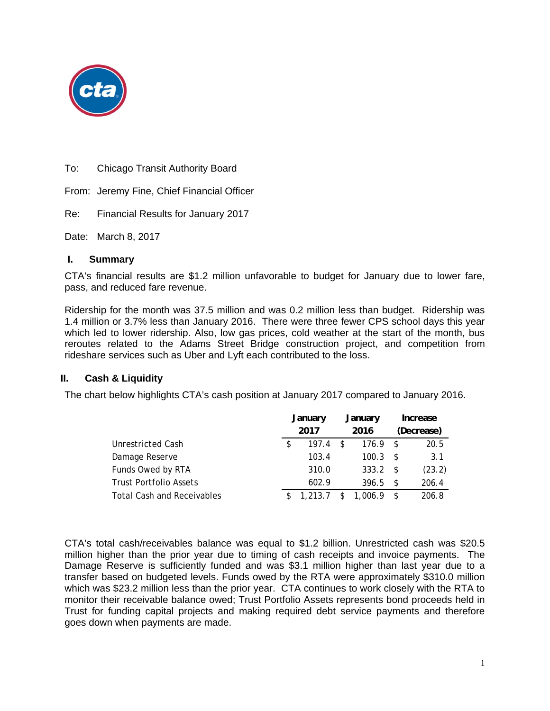

To: Chicago Transit Authority Board

From: Jeremy Fine, Chief Financial Officer

Re: Financial Results for January 2017

Date: March 8, 2017

#### **I. Summary**

CTA's financial results are \$1.2 million unfavorable to budget for January due to lower fare, pass, and reduced fare revenue.

Ridership for the month was 37.5 million and was 0.2 million less than budget. Ridership was 1.4 million or 3.7% less than January 2016. There were three fewer CPS school days this year which led to lower ridership. Also, low gas prices, cold weather at the start of the month, bus reroutes related to the Adams Street Bridge construction project, and competition from rideshare services such as Uber and Lyft each contributed to the loss.

### **II. Cash & Liquidity**

The chart below highlights CTA's cash position at January 2017 compared to January 2016.

|                                   | January     |   | January |      | Increase   |
|-----------------------------------|-------------|---|---------|------|------------|
|                                   | 2017        |   | 2016    |      | (Decrease) |
| <b>Unrestricted Cash</b>          | \$<br>197.4 | S | 176.9   | -S   | 20.5       |
| Damage Reserve                    | 103.4       |   | 100.3   | -S   | 3.1        |
| Funds Owed by RTA                 | 310.0       |   | 333.2   | -S   | (23.2)     |
| <b>Trust Portfolio Assets</b>     | 602.9       |   | 396.5   | - \$ | 206.4      |
| <b>Total Cash and Receivables</b> | 1,213.7     |   | 1,006.9 |      | 206.8      |

CTA's total cash/receivables balance was equal to \$1.2 billion. Unrestricted cash was \$20.5 million higher than the prior year due to timing of cash receipts and invoice payments. The Damage Reserve is sufficiently funded and was \$3.1 million higher than last year due to a transfer based on budgeted levels. Funds owed by the RTA were approximately \$310.0 million which was \$23.2 million less than the prior year. CTA continues to work closely with the RTA to monitor their receivable balance owed; Trust Portfolio Assets represents bond proceeds held in Trust for funding capital projects and making required debt service payments and therefore goes down when payments are made.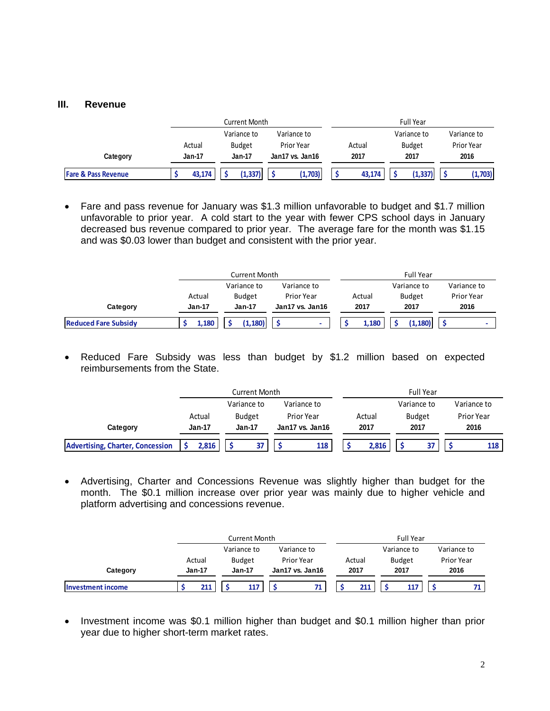### **III. Revenue**

|                                |        | Current Month |                 |        | <b>Full Year</b> |                   |  |
|--------------------------------|--------|---------------|-----------------|--------|------------------|-------------------|--|
|                                |        | Variance to   | Variance to     |        | Variance to      | Variance to       |  |
|                                | Actual | <b>Budget</b> | Prior Year      | Actual | <b>Budget</b>    | <b>Prior Year</b> |  |
| Category                       | Jan-17 | Jan-17        | Jan17 vs. Jan16 |        | 2017             | 2016              |  |
| <b>Fare &amp; Pass Revenue</b> | 43,174 | (1, 337)      | (1,703)         | 43,174 | (1, 337)         | (1,703)           |  |

 Fare and pass revenue for January was \$1.3 million unfavorable to budget and \$1.7 million unfavorable to prior year. A cold start to the year with fewer CPS school days in January decreased bus revenue compared to prior year. The average fare for the month was \$1.15 and was \$0.03 lower than budget and consistent with the prior year.

|                             |               | <b>Current Month</b> |                          |        | <b>Full Year</b> |             |  |  |  |
|-----------------------------|---------------|----------------------|--------------------------|--------|------------------|-------------|--|--|--|
|                             |               | Variance to          | Variance to              |        | Variance to      | Variance to |  |  |  |
|                             | Actual        | <b>Budget</b>        | Prior Year               | Actual | <b>Budget</b>    | Prior Year  |  |  |  |
| Category                    | <b>Jan-17</b> | <b>Jan-17</b>        | Jan17 vs. Jan16          | 2017   | 2017             | 2016        |  |  |  |
| <b>Reduced Fare Subsidy</b> | 1.180         | (1.180)              | $\overline{\phantom{a}}$ | 1.180  | (1.180)          |             |  |  |  |

 Reduced Fare Subsidy was less than budget by \$1.2 million based on expected reimbursements from the State.

|                                         |               | Current Month |                 |        | <b>Full Year</b> |                   |
|-----------------------------------------|---------------|---------------|-----------------|--------|------------------|-------------------|
|                                         |               | Variance to   | Variance to     |        | Variance to      | Variance to       |
|                                         | Actual        | <b>Budget</b> | Prior Year      | Actual | <b>Budget</b>    | <b>Prior Year</b> |
| Category                                | <b>Jan-17</b> | Jan-17        | Jan17 vs. Jan16 | 2017   | 2017             | 2016              |
| <b>Advertising, Charter, Concession</b> | 2.816         |               | 118             | 2.816  | 37               | 118               |

 Advertising, Charter and Concessions Revenue was slightly higher than budget for the month. The \$0.1 million increase over prior year was mainly due to higher vehicle and platform advertising and concessions revenue.

|                          |          | <b>Current Month</b> |                 | <b>Full Year</b> |               |             |  |  |
|--------------------------|----------|----------------------|-----------------|------------------|---------------|-------------|--|--|
|                          |          | Variance to          | Variance to     |                  | Variance to   | Variance to |  |  |
|                          | Actual   | <b>Budget</b>        | Prior Year      | Actual           | <b>Budget</b> | Prior Year  |  |  |
| Category                 | $Jan-17$ | <b>Jan-17</b>        | Jan17 vs. Jan16 | 2017             | 2017          | 2016        |  |  |
| <b>Investment income</b> | 211      | 117                  | 71.             | 211              | 117           |             |  |  |

• Investment income was \$0.1 million higher than budget and \$0.1 million higher than prior year due to higher short-term market rates.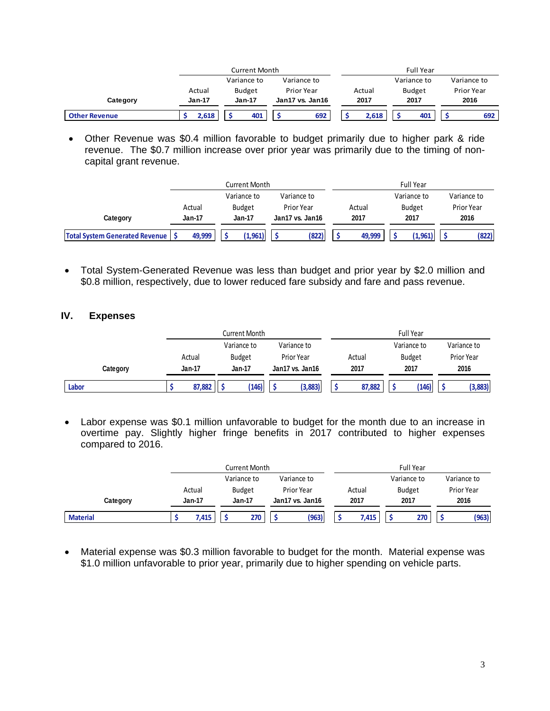|                      |               | <b>Current Month</b> |                 | <b>Full Year</b> |               |                   |  |  |
|----------------------|---------------|----------------------|-----------------|------------------|---------------|-------------------|--|--|
|                      |               | Variance to          | Variance to     |                  | Variance to   | Variance to       |  |  |
|                      | Actual        | Budget               | Prior Year      | Actual           | <b>Budget</b> | <b>Prior Year</b> |  |  |
| Category             | <b>Jan-17</b> | <b>Jan-17</b>        | Jan17 vs. Jan16 | 2017             | 2017          | 2016              |  |  |
| <b>Other Revenue</b> | 2,618         | 401                  | 692             | 2,618            | 401           | 692               |  |  |

 Other Revenue was \$0.4 million favorable to budget primarily due to higher park & ride revenue. The \$0.7 million increase over prior year was primarily due to the timing of noncapital grant revenue.

|                                       |                            |               | Current Month |                 |                   |      |        |      | <b>Full Year</b> |      |             |
|---------------------------------------|----------------------------|---------------|---------------|-----------------|-------------------|------|--------|------|------------------|------|-------------|
|                                       | Variance to<br>Variance to |               |               |                 |                   |      |        |      | Variance to      |      | Variance to |
|                                       | Actual                     |               | <b>Budget</b> |                 | <b>Prior Year</b> |      | Actual |      | <b>Budget</b>    |      | Prior Year  |
| Category                              | Jan-17                     | <b>Jan-17</b> |               | Jan17 vs. Jan16 |                   | 2017 |        | 2017 |                  | 2016 |             |
| <b>Total System Generated Revenue</b> | 49,999                     |               | (1,961)       |                 | (822)             |      | 49,999 |      | (1,961)          |      | (822)       |

 Total System-Generated Revenue was less than budget and prior year by \$2.0 million and \$0.8 million, respectively, due to lower reduced fare subsidy and fare and pass revenue.

#### **IV. Expenses**

|          |        |               | Current Month |                   |        | <b>Full Year</b> |             |
|----------|--------|---------------|---------------|-------------------|--------|------------------|-------------|
|          |        | Variance to   |               | Variance to       |        | Variance to      | Variance to |
|          | Actual | <b>Budget</b> |               | <b>Prior Year</b> | Actual | <b>Budget</b>    | Prior Year  |
| Category | Jan-17 | Jan-17        |               | Jan17 vs. Jan16   | 2017   | 2017             | 2016        |
| Labor    | 87,882 |               | (146)         | (3,883)           | 87,882 | (146)            | (3,883)     |

 Labor expense was \$0.1 million unfavorable to budget for the month due to an increase in overtime pay. Slightly higher fringe benefits in 2017 contributed to higher expenses compared to 2016.

|                 |               | Current Month |                 | Full Year |               |             |  |  |  |
|-----------------|---------------|---------------|-----------------|-----------|---------------|-------------|--|--|--|
|                 |               | Variance to   | Variance to     |           | Variance to   | Variance to |  |  |  |
|                 | Actual        | <b>Budget</b> | Prior Year      | Actual    | <b>Budget</b> | Prior Year  |  |  |  |
| Category        | <b>Jan-17</b> | <b>Jan-17</b> | Jan17 vs. Jan16 | 2017      | 2017          | 2016        |  |  |  |
| <b>Material</b> | 7,415         | 270           | (963)           | 7,415     | 270           | (963)       |  |  |  |

 Material expense was \$0.3 million favorable to budget for the month. Material expense was \$1.0 million unfavorable to prior year, primarily due to higher spending on vehicle parts.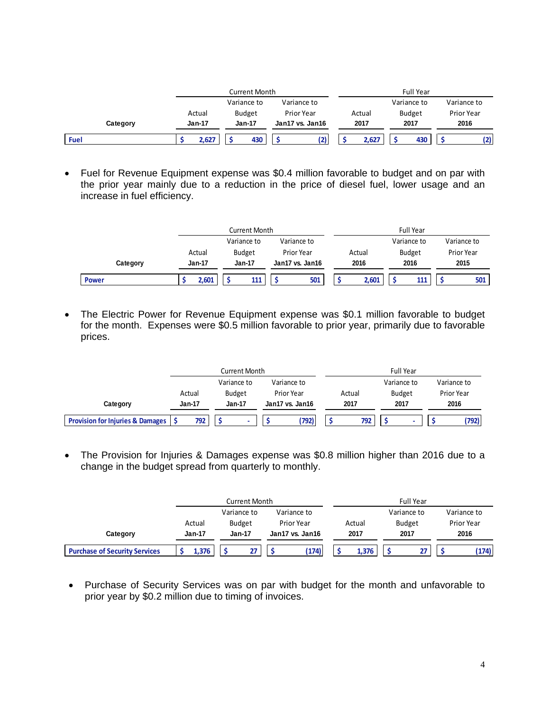|          |                  | Current Month           |                               |                | Full Year             |                    |
|----------|------------------|-------------------------|-------------------------------|----------------|-----------------------|--------------------|
|          |                  | Variance to             | Variance to                   |                | Variance to           | Variance to        |
| Category | Actual<br>Jan-17 | <b>Budget</b><br>Jan-17 | Prior Year<br>Jan17 vs. Jan16 | Actual<br>2017 | <b>Budget</b><br>2017 | Prior Year<br>2016 |
|          |                  |                         |                               |                |                       |                    |
| Fuel     | 2,627            | 430                     | (2)                           | 2.627          | 430                   | (2)                |

 Fuel for Revenue Equipment expense was \$0.4 million favorable to budget and on par with the prior year mainly due to a reduction in the price of diesel fuel, lower usage and an increase in fuel efficiency.

|              |        | Current Month |                 | <b>Full Year</b> |               |             |  |  |
|--------------|--------|---------------|-----------------|------------------|---------------|-------------|--|--|
|              |        | Variance to   | Variance to     |                  | Variance to   | Variance to |  |  |
|              | Actual | <b>Budget</b> | Prior Year      | Actual           | <b>Budget</b> | Prior Year  |  |  |
| Category     | Jan-17 | Jan-17        | Jan17 vs. Jan16 | 2016             | 2016          | 2015        |  |  |
| <b>Power</b> | 2.601  | 111           | 501             | 2,601            | 111           | 501         |  |  |

• The Electric Power for Revenue Equipment expense was \$0.1 million favorable to budget for the month. Expenses were \$0.5 million favorable to prior year, primarily due to favorable prices.

|                                                  |               | Current Month |                 | <b>Full Year</b> |               |             |  |  |  |
|--------------------------------------------------|---------------|---------------|-----------------|------------------|---------------|-------------|--|--|--|
|                                                  |               | Variance to   | Variance to     |                  | Variance to   | Variance to |  |  |  |
|                                                  | Actual        | <b>Budget</b> | Prior Year      | Actual           | <b>Budget</b> | Prior Year  |  |  |  |
| Category                                         | <b>Jan-17</b> | $Jan-17$      | Jan17 vs. Jan16 | 2017             | 2017          | 2016        |  |  |  |
| <b>Provision for Injuries &amp; Damages   \$</b> | 792           |               | (792)           | 792              |               | (792)       |  |  |  |

 The Provision for Injuries & Damages expense was \$0.8 million higher than 2016 due to a change in the budget spread from quarterly to monthly.

|                                      |          | Current Month |                 | Full Year |               |             |  |  |  |
|--------------------------------------|----------|---------------|-----------------|-----------|---------------|-------------|--|--|--|
|                                      |          | Variance to   | Variance to     |           | Variance to   | Variance to |  |  |  |
|                                      | Actual   | <b>Budget</b> | Prior Year      | Actual    | <b>Budget</b> | Prior Year  |  |  |  |
| Category                             | $Jan-17$ | <b>Jan-17</b> | Jan17 vs. Jan16 | 2017      | 2017          | 2016        |  |  |  |
| <b>Purchase of Security Services</b> | 1.376    | 77            | (174)           | 1.376     | 27            | (174)       |  |  |  |

• Purchase of Security Services was on par with budget for the month and unfavorable to prior year by \$0.2 million due to timing of invoices.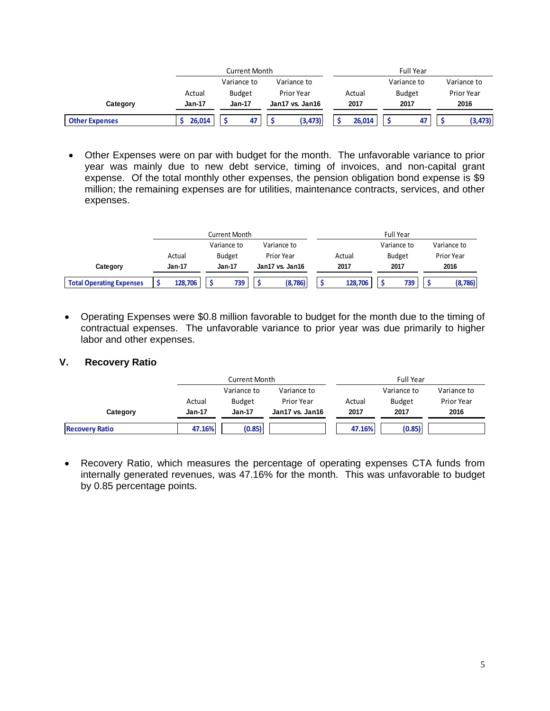|                       |               | Current Month |                 | <b>Full Year</b> |               |             |  |  |  |  |
|-----------------------|---------------|---------------|-----------------|------------------|---------------|-------------|--|--|--|--|
|                       |               | Variance to   | Variance to     |                  | Variance to   | Variance to |  |  |  |  |
|                       | Actual        | <b>Budget</b> | Prior Year      | Actual           | <b>Budget</b> | Prior Year  |  |  |  |  |
| Category              | <b>Jan-17</b> | <b>Jan-17</b> | Jan17 vs. Jan16 | 2017             | 2017          | 2016        |  |  |  |  |
| <b>Other Expenses</b> | 26.014        | 47            | (3, 473)        | 26.014           | 47            | (3, 473)    |  |  |  |  |

 Other Expenses were on par with budget for the month. The unfavorable variance to prior year was mainly due to new debt service, timing of invoices, and non-capital grant expense. Of the total monthly other expenses, the pension obligation bond expense is \$9 million; the remaining expenses are for utilities, maintenance contracts, services, and other expenses.

|                                 | Current Month |               |                            |               |            |                         |  | <b>Full Year</b> |  |               |             |            |  |
|---------------------------------|---------------|---------------|----------------------------|---------------|------------|-------------------------|--|------------------|--|---------------|-------------|------------|--|
|                                 |               |               | Variance to<br>Variance to |               |            |                         |  |                  |  | Variance to   | Variance to |            |  |
|                                 |               | Actual        |                            | <b>Budget</b> | Prior Year |                         |  | Actual           |  | <b>Budget</b> |             | Prior Year |  |
| Category                        |               | <b>Jan-17</b> |                            | Jan-17        |            | 2017<br>Jan17 vs. Jan16 |  | 2017             |  |               | 2016        |            |  |
| <b>Total Operating Expenses</b> |               | 128,706       |                            | 739           |            | (8,786)                 |  | 128,706          |  | 739           |             | (8,786)    |  |

 Operating Expenses were \$0.8 million favorable to budget for the month due to the timing of contractual expenses. The unfavorable variance to prior year was due primarily to higher labor and other expenses.

### **V. Recovery Ratio**

|                       |          | <b>Current Month</b> |                 |        | <b>Full Year</b> |             |  |  |  |  |
|-----------------------|----------|----------------------|-----------------|--------|------------------|-------------|--|--|--|--|
|                       |          | Variance to          | Variance to     |        | Variance to      | Variance to |  |  |  |  |
|                       | Actual   | <b>Budget</b>        | Prior Year      | Actual | <b>Budget</b>    | Prior Year  |  |  |  |  |
| Category              | $Jan-17$ | Jan-17               | Jan17 vs. Jan16 | 2017   | 2017             | 2016        |  |  |  |  |
| <b>Recovery Ratio</b> | 47.16%   | (0.85)               |                 | 47.16% | (0.85)           |             |  |  |  |  |

 Recovery Ratio, which measures the percentage of operating expenses CTA funds from internally generated revenues, was 47.16% for the month. This was unfavorable to budget by 0.85 percentage points.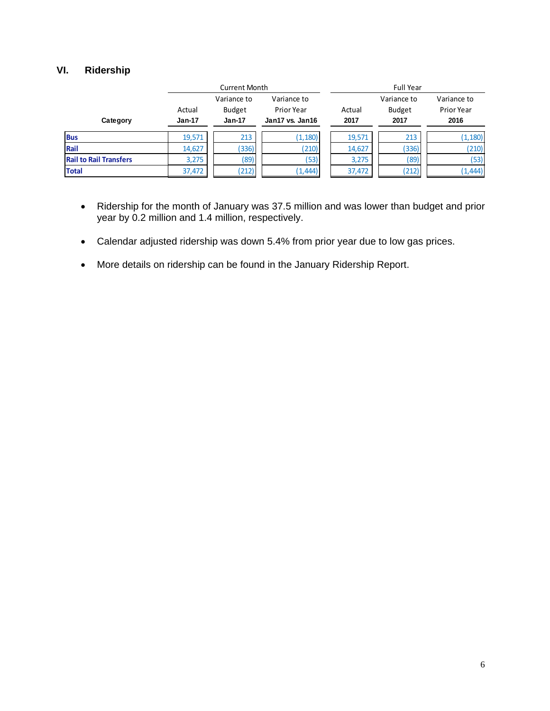### **VI. Ridership**

|                               |                    | <b>Current Month</b>                     |                                              | <b>Full Year</b> |                                      |                                   |  |  |  |  |
|-------------------------------|--------------------|------------------------------------------|----------------------------------------------|------------------|--------------------------------------|-----------------------------------|--|--|--|--|
| Category                      | Actual<br>$Jan-17$ | Variance to<br><b>Budget</b><br>$Jan-17$ | Variance to<br>Prior Year<br>Jan17 vs. Jan16 | Actual<br>2017   | Variance to<br><b>Budget</b><br>2017 | Variance to<br>Prior Year<br>2016 |  |  |  |  |
| <b>Bus</b>                    | 19,571             | 213                                      | (1, 180)                                     | 19,571           | 213                                  | (1, 180)                          |  |  |  |  |
| Rail                          | 14,627             | (336)                                    | (210)                                        | 14,627           | (336)                                | (210)                             |  |  |  |  |
| <b>Rail to Rail Transfers</b> | 3,275              | (89)                                     | (53)                                         | 3,275            | (89)                                 | (53)                              |  |  |  |  |
| <b>Total</b>                  | 37,472             | (212)                                    | (1, 444)                                     | 37,472           | (212)                                | (1, 444)                          |  |  |  |  |

- Ridership for the month of January was 37.5 million and was lower than budget and prior year by 0.2 million and 1.4 million, respectively.
- Calendar adjusted ridership was down 5.4% from prior year due to low gas prices.
- More details on ridership can be found in the January Ridership Report.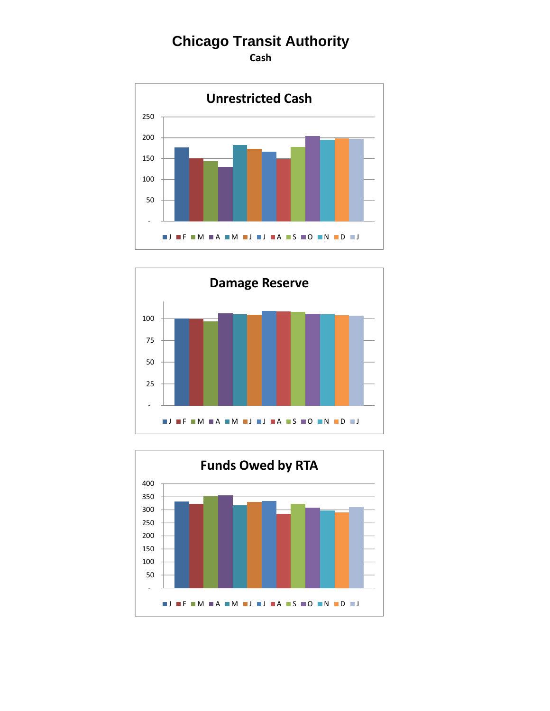**Cash**





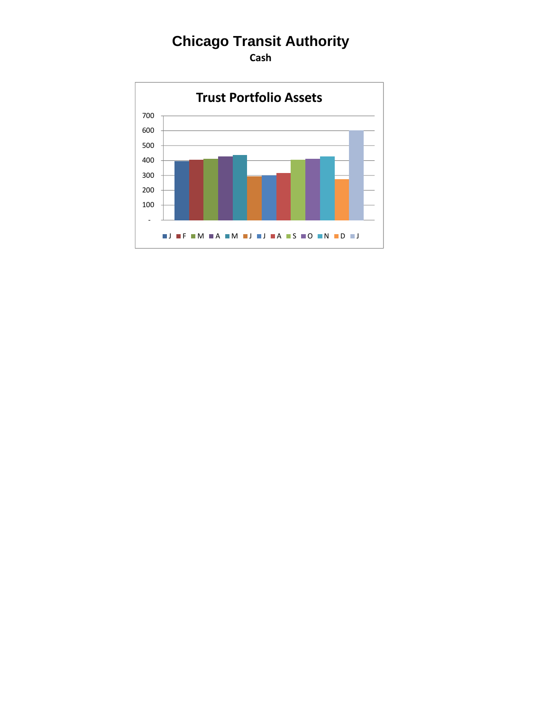**Cash**

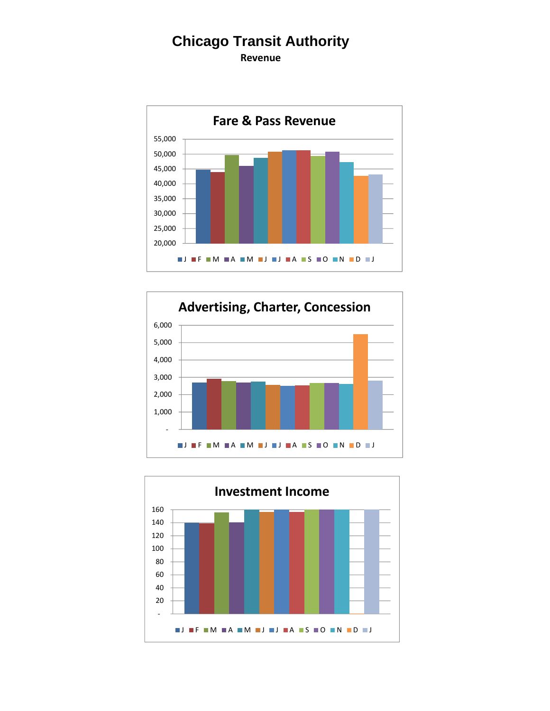**Revenue**





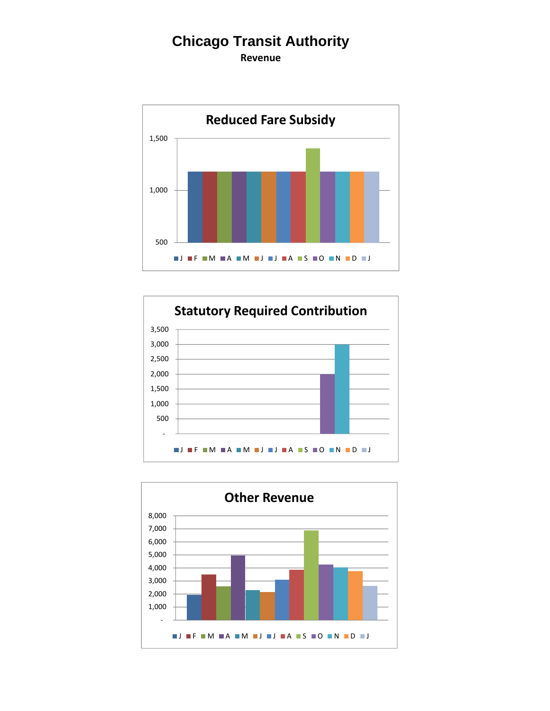**Revenue**





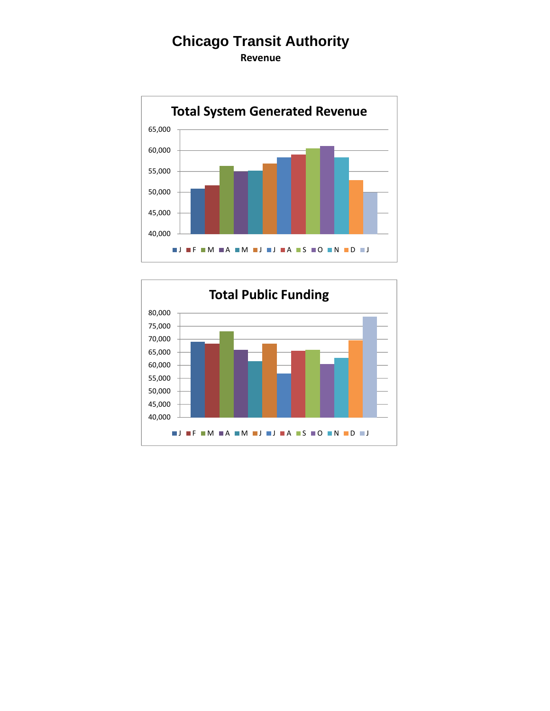**Revenue**



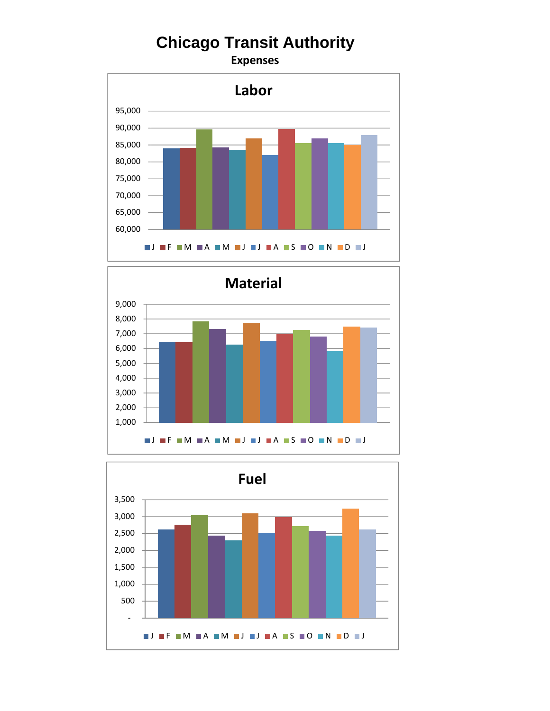**Expenses**





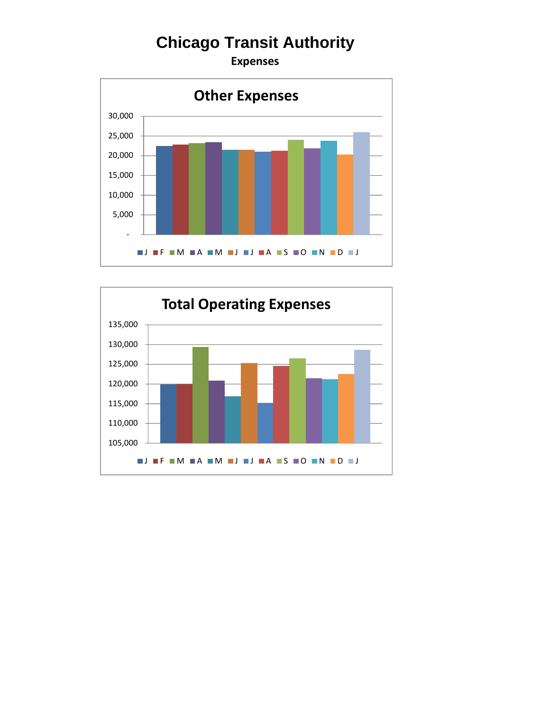**Expenses**



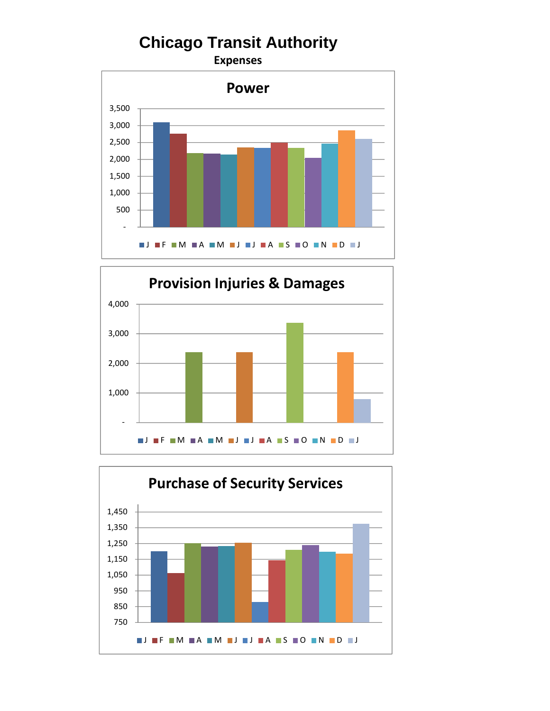**Expenses**